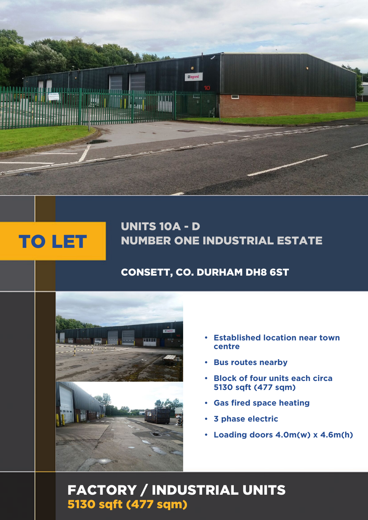

# UNITS 10A - D NUMBER ONE INDUSTRIAL ESTATE

# CONSETT, CO. DURHAM DH8 6ST



smh

- **Established location near town centre**
- **Bus routes nearby**
- **Block of four units each circa 5130 sqft (477 sqm)**
- **Gas fired space heating**
- **3 phase electric**
- **Loading doors 4.0m(w) x 4.6m(h)**

# FACTORY / INDUSTRIAL UNITS 5130 sqft (477 sqm)